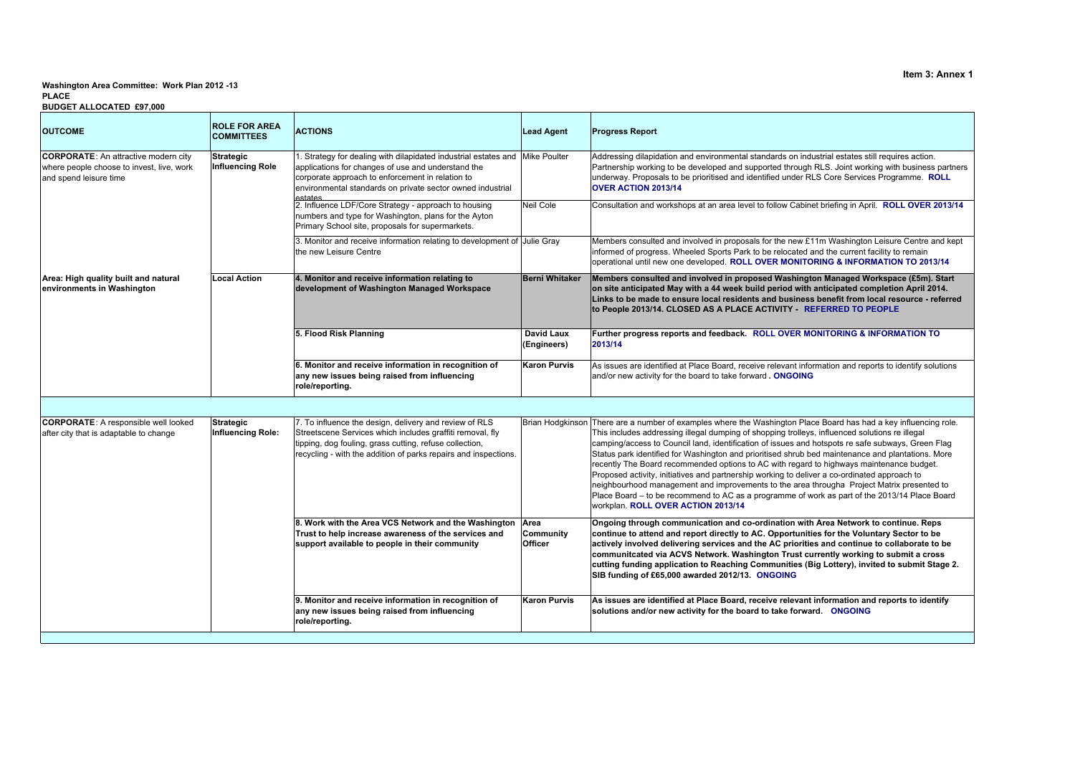## **PLACEWashington Area Committee: Work Plan 2012 -13**

| <b>OUTCOME</b>                                                                                                     | <b>ROLE FOR AREA</b><br><b>COMMITTEES</b>   | <b>ACTIONS</b>                                                                                                                                                                                                                                                  | <b>Lead Agent</b>                | <b>Progress Report</b>                                                                                                                                                                                                                                                                                                                                                                                                                                                                                                                                                                                                                                                                                                                                                                                                                                        |
|--------------------------------------------------------------------------------------------------------------------|---------------------------------------------|-----------------------------------------------------------------------------------------------------------------------------------------------------------------------------------------------------------------------------------------------------------------|----------------------------------|---------------------------------------------------------------------------------------------------------------------------------------------------------------------------------------------------------------------------------------------------------------------------------------------------------------------------------------------------------------------------------------------------------------------------------------------------------------------------------------------------------------------------------------------------------------------------------------------------------------------------------------------------------------------------------------------------------------------------------------------------------------------------------------------------------------------------------------------------------------|
| <b>CORPORATE:</b> An attractive modern city<br>where people choose to invest, live, work<br>and spend leisure time | <b>Strategic</b><br><b>Influencing Role</b> | 1. Strategy for dealing with dilapidated industrial estates and Mike Poulter<br>applications for changes of use and understand the<br>corporate approach to enforcement in relation to<br>environmental standards on private sector owned industrial<br>oetatoe |                                  | Addressing dilapidation and environmental standards on industrial estates still requires action.<br>Partnership working to be developed and supported through RLS. Joint working with business partners<br>underway. Proposals to be prioritised and identified under RLS Core Services Programme. ROLL<br>OVER ACTION 2013/14                                                                                                                                                                                                                                                                                                                                                                                                                                                                                                                                |
|                                                                                                                    |                                             | 2. Influence LDF/Core Strategy - approach to housing<br>numbers and type for Washington, plans for the Ayton<br>Primary School site, proposals for supermarkets.                                                                                                | Neil Cole                        | Consultation and workshops at an area level to follow Cabinet briefing in April. ROLL OVER 2013/14                                                                                                                                                                                                                                                                                                                                                                                                                                                                                                                                                                                                                                                                                                                                                            |
|                                                                                                                    |                                             | 3. Monitor and receive information relating to development of Julie Gray<br>the new Leisure Centre                                                                                                                                                              |                                  | Members consulted and involved in proposals for the new £11m Washington Leisure Centre and kept<br>informed of progress. Wheeled Sports Park to be relocated and the current facility to remain<br>operational until new one developed. ROLL OVER MONITORING & INFORMATION TO 2013/14                                                                                                                                                                                                                                                                                                                                                                                                                                                                                                                                                                         |
| Area: High quality built and natural<br>environments in Washington                                                 | <b>Local Action</b>                         | 4. Monitor and receive information relating to<br>development of Washington Managed Workspace                                                                                                                                                                   | Berni Whitaker                   | Members consulted and involved in proposed Washington Managed Workspace (£5m). Start<br>on site anticipated May with a 44 week build period with anticipated completion April 2014.<br>Links to be made to ensure local residents and business benefit from local resource - referred<br>to People 2013/14. CLOSED AS A PLACE ACTIVITY - REFERRED TO PEOPLE                                                                                                                                                                                                                                                                                                                                                                                                                                                                                                   |
|                                                                                                                    |                                             | 5. Flood Risk Planning                                                                                                                                                                                                                                          | <b>David Laux</b><br>(Engineers) | Further progress reports and feedback. ROLL OVER MONITORING & INFORMATION TO<br>2013/14                                                                                                                                                                                                                                                                                                                                                                                                                                                                                                                                                                                                                                                                                                                                                                       |
|                                                                                                                    |                                             | 6. Monitor and receive information in recognition of<br>any new issues being raised from influencing<br>role/reporting.                                                                                                                                         | <b>Karon Purvis</b>              | As issues are identified at Place Board, receive relevant information and reports to identify solutions<br>and/or new activity for the board to take forward. ONGOING                                                                                                                                                                                                                                                                                                                                                                                                                                                                                                                                                                                                                                                                                         |
|                                                                                                                    |                                             |                                                                                                                                                                                                                                                                 |                                  |                                                                                                                                                                                                                                                                                                                                                                                                                                                                                                                                                                                                                                                                                                                                                                                                                                                               |
| <b>CORPORATE:</b> A responsible well looked<br>after city that is adaptable to change                              | <b>Strategic</b><br>Influencing Role:       | 7. To influence the design, delivery and review of RLS<br>Streetscene Services which includes graffiti removal, fly<br>tipping, dog fouling, grass cutting, refuse collection,<br>recycling - with the addition of parks repairs and inspections.               |                                  | Brian Hodgkinson There are a number of examples where the Washington Place Board has had a key influencing role.<br>This includes addressing illegal dumping of shopping trolleys, influenced solutions re illegal<br>camping/access to Council land, identification of issues and hotspots re safe subways, Green Flag<br>Status park identified for Washington and prioritised shrub bed maintenance and plantations. More<br>recently The Board recommended options to AC with regard to highways maintenance budget.<br>Proposed activity, initiatives and partnership working to deliver a co-ordinated approach to<br>neighbourhood management and improvements to the area througha Project Matrix presented to<br>Place Board – to be recommend to AC as a programme of work as part of the 2013/14 Place Board<br>workplan. ROLL OVER ACTION 2013/14 |
|                                                                                                                    |                                             | 8. Work with the Area VCS Network and the Washington Area<br>Trust to help increase awareness of the services and<br>support available to people in their community                                                                                             | Community<br><b>Officer</b>      | Ongoing through communication and co-ordination with Area Network to continue. Reps<br>continue to attend and report directly to AC. Opportunities for the Voluntary Sector to be<br>actively involved delivering services and the AC priorities and continue to collaborate to be<br>communitcated via ACVS Network. Washington Trust currently working to submit a cross<br>cutting funding application to Reaching Communities (Big Lottery), invited to submit Stage 2.<br>SIB funding of £65,000 awarded 2012/13. ONGOING                                                                                                                                                                                                                                                                                                                                |
|                                                                                                                    |                                             | 9. Monitor and receive information in recognition of<br>any new issues being raised from influencing<br>role/reporting.                                                                                                                                         | <b>Karon Purvis</b>              | As issues are identified at Place Board, receive relevant information and reports to identify<br>solutions and/or new activity for the board to take forward.  ONGOING                                                                                                                                                                                                                                                                                                                                                                                                                                                                                                                                                                                                                                                                                        |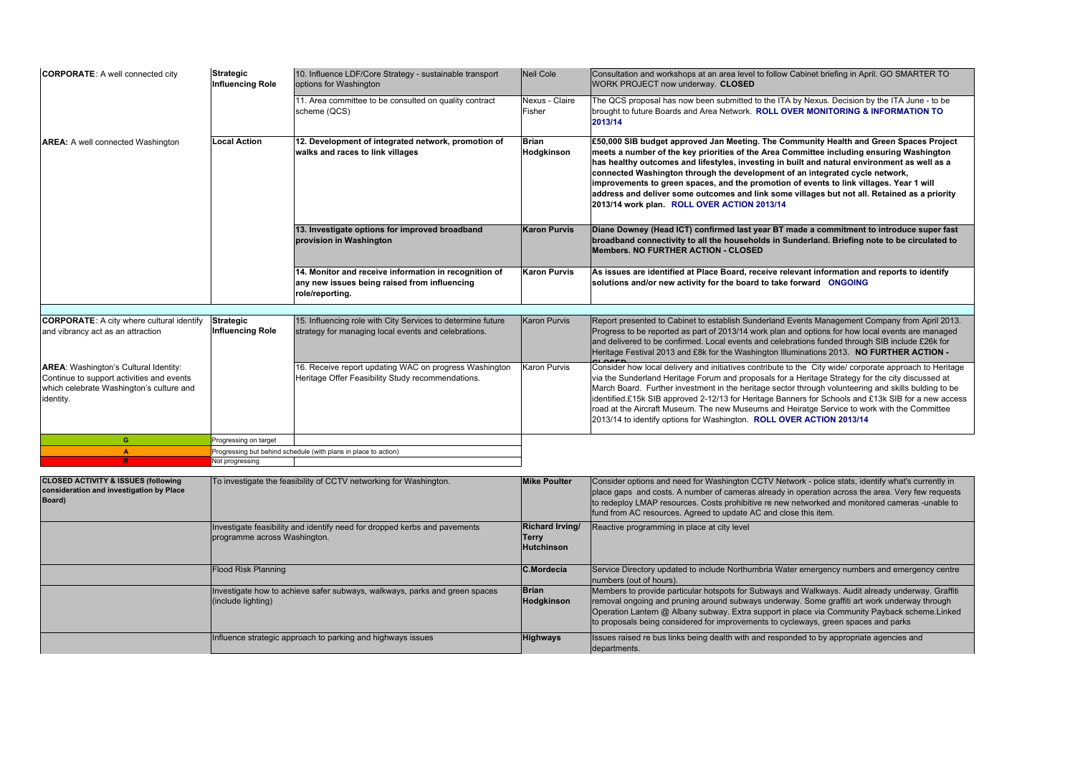| <b>CORPORATE:</b> A well connected city                                                                                                            | Strategic<br><b>Influencing Role</b>        | 10. Influence LDF/Core Strategy - sustainable transport<br>options for Washington                                        | <b>Neil Cole</b>           | Consultation and workshops at an area level to follow Cabinet briefing in April. GO SMARTER TO<br>WORK PROJECT now underway. CLOSED                                                                                                                                                                                                                                                                                                                                                                                                                                                                          |
|----------------------------------------------------------------------------------------------------------------------------------------------------|---------------------------------------------|--------------------------------------------------------------------------------------------------------------------------|----------------------------|--------------------------------------------------------------------------------------------------------------------------------------------------------------------------------------------------------------------------------------------------------------------------------------------------------------------------------------------------------------------------------------------------------------------------------------------------------------------------------------------------------------------------------------------------------------------------------------------------------------|
|                                                                                                                                                    |                                             | 11. Area committee to be consulted on quality contract<br>scheme (QCS)                                                   | Nexus - Claire<br>Fisher   | The QCS proposal has now been submitted to the ITA by Nexus. Decision by the ITA June - to be<br>brought to future Boards and Area Network. ROLL OVER MONITORING & INFORMATION TO<br>2013/14                                                                                                                                                                                                                                                                                                                                                                                                                 |
| <b>AREA:</b> A well connected Washington                                                                                                           | <b>Local Action</b>                         | 12. Development of integrated network, promotion of<br>walks and races to link villages                                  | <b>Brian</b><br>Hodgkinson | £50,000 SIB budget approved Jan Meeting. The Community Health and Green Spaces Project<br>meets a number of the key priorities of the Area Committee including ensuring Washington<br>has healthy outcomes and lifestyles, investing in built and natural environment as well as a<br>connected Washington through the development of an integrated cycle network,<br>improvements to green spaces, and the promotion of events to link villages. Year 1 will<br>address and deliver some outcomes and link some villages but not all. Retained as a priority<br>2013/14 work plan. ROLL OVER ACTION 2013/14 |
|                                                                                                                                                    |                                             | 13. Investigate options for improved broadband<br>provision in Washington                                                | <b>Karon Purvis</b>        | Diane Downey (Head ICT) confirmed last year BT made a commitment to introduce super fast<br>broadband connectivity to all the households in Sunderland. Briefing note to be circulated to<br><b>Members, NO FURTHER ACTION - CLOSED</b>                                                                                                                                                                                                                                                                                                                                                                      |
|                                                                                                                                                    |                                             | 14. Monitor and receive information in recognition of<br>any new issues being raised from influencing<br>role/reporting. | <b>Karon Purvis</b>        | As issues are identified at Place Board, receive relevant information and reports to identify<br>solutions and/or new activity for the board to take forward ONGOING                                                                                                                                                                                                                                                                                                                                                                                                                                         |
|                                                                                                                                                    |                                             |                                                                                                                          |                            |                                                                                                                                                                                                                                                                                                                                                                                                                                                                                                                                                                                                              |
| <b>CORPORATE:</b> A city where cultural identify<br>and vibrancy act as an attraction                                                              | <b>Strategic</b><br><b>Influencing Role</b> | 15. Influencing role with City Services to determine future<br>strategy for managing local events and celebrations.      | <b>Karon Purvis</b>        | Report presented to Cabinet to establish Sunderland Events Management Company from April 2013.<br>Progress to be reported as part of 2013/14 work plan and options for how local events are managed<br>and delivered to be confirmed. Local events and celebrations funded through SIB include £26k for<br>Heritage Festival 2013 and £8k for the Washington Illuminations 2013. NO FURTHER ACTION -                                                                                                                                                                                                         |
| <b>AREA:</b> Washington's Cultural Identity:<br>Continue to support activities and events<br>which celebrate Washington's culture and<br>identity. |                                             | 16. Receive report updating WAC on progress Washington<br>Heritage Offer Feasibility Study recommendations.              | <b>Karon Purvis</b>        | Consider how local delivery and initiatives contribute to the City wide/ corporate approach to Heritage<br>via the Sunderland Heritage Forum and proposals for a Heritage Strategy for the city discussed at<br>March Board. Further investment in the heritage sector through volunteering and skills bulding to be<br>identified.£15k SIB approved 2-12/13 for Heritage Banners for Schools and £13k SIB for a new access<br>road at the Aircraft Museum. The new Museums and Heiratge Service to work with the Committee<br>2013/14 to identify options for Washington. ROLL OVER ACTION 2013/14          |
| G                                                                                                                                                  | Progressing on target                       |                                                                                                                          |                            |                                                                                                                                                                                                                                                                                                                                                                                                                                                                                                                                                                                                              |
| $\overline{\mathbf{A}}$                                                                                                                            |                                             | Progressing but behind schedule (with plans in place to action)                                                          |                            |                                                                                                                                                                                                                                                                                                                                                                                                                                                                                                                                                                                                              |
| R.                                                                                                                                                 | Not progressing                             |                                                                                                                          |                            |                                                                                                                                                                                                                                                                                                                                                                                                                                                                                                                                                                                                              |

| <b>CLOSED ACTIVITY &amp; ISSUES (following</b><br>consideration and investigation by Place<br>Board) | To investigate the feasibility of CCTV networking for Washington.                                         | <b>Mike Poulter</b>                                  | Consider options and need for Washington CCTV Network - police stats, identify what's currently in<br>place gaps and costs. A number of cameras already in operation across the area. Very few requests<br>to redeploy LMAP resources. Costs prohibitive re new networked and monitored cameras -unable to<br>fund from AC resources. Agreed to update AC and close this item.             |
|------------------------------------------------------------------------------------------------------|-----------------------------------------------------------------------------------------------------------|------------------------------------------------------|--------------------------------------------------------------------------------------------------------------------------------------------------------------------------------------------------------------------------------------------------------------------------------------------------------------------------------------------------------------------------------------------|
|                                                                                                      | Investigate feasibility and identify need for dropped kerbs and pavements<br>programme across Washington. | Richard Irving/<br><b>Terry</b><br><b>Hutchinson</b> | Reactive programming in place at city level                                                                                                                                                                                                                                                                                                                                                |
|                                                                                                      | Flood Risk Planning                                                                                       | C.Mordecia                                           | Service Directory updated to include Northumbria Water emergency numbers and emergency centre<br>numbers (out of hours).                                                                                                                                                                                                                                                                   |
|                                                                                                      | Investigate how to achieve safer subways, walkways, parks and green spaces<br>(include lighting)          | <b>Brian</b><br><b>Hodgkinson</b>                    | Members to provide particular hotspots for Subways and Walkways. Audit already underway. Graffiti<br>removal ongoing and pruning around subways underway. Some graffiti art work underway through<br>Operation Lantern @ Albany subway. Extra support in place via Community Payback scheme. Linked<br>to proposals being considered for improvements to cycleways, green spaces and parks |
|                                                                                                      | Influence strategic approach to parking and highways issues                                               | <b>Highways</b>                                      | Issues raised re bus links being dealth with and responded to by appropriate agencies and<br>departments.                                                                                                                                                                                                                                                                                  |